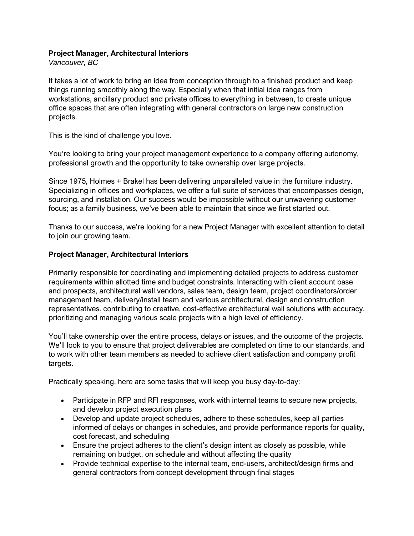## **Project Manager, Architectural Interiors**

*Vancouver, BC*

It takes a lot of work to bring an idea from conception through to a finished product and keep things running smoothly along the way. Especially when that initial idea ranges from workstations, ancillary product and private offices to everything in between, to create unique office spaces that are often integrating with general contractors on large new construction projects.

This is the kind of challenge you love.

You're looking to bring your project management experience to a company offering autonomy, professional growth and the opportunity to take ownership over large projects.

Since 1975, Holmes + Brakel has been delivering unparalleled value in the furniture industry. Specializing in offices and workplaces, we offer a full suite of services that encompasses design, sourcing, and installation. Our success would be impossible without our unwavering customer focus; as a family business, we've been able to maintain that since we first started out.

Thanks to our success, we're looking for a new Project Manager with excellent attention to detail to join our growing team.

## **Project Manager, Architectural Interiors**

Primarily responsible for coordinating and implementing detailed projects to address customer requirements within allotted time and budget constraints. Interacting with client account base and prospects, architectural wall vendors, sales team, design team, project coordinators/order management team, delivery/install team and various architectural, design and construction representatives. contributing to creative, cost-effective architectural wall solutions with accuracy. prioritizing and managing various scale projects with a high level of efficiency.

You'll take ownership over the entire process, delays or issues, and the outcome of the projects. We'll look to you to ensure that project deliverables are completed on time to our standards, and to work with other team members as needed to achieve client satisfaction and company profit targets.

Practically speaking, here are some tasks that will keep you busy day-to-day:

- Participate in RFP and RFI responses, work with internal teams to secure new projects, and develop project execution plans
- Develop and update project schedules, adhere to these schedules, keep all parties informed of delays or changes in schedules, and provide performance reports for quality, cost forecast, and scheduling
- Ensure the project adheres to the client's design intent as closely as possible, while remaining on budget, on schedule and without affecting the quality
- Provide technical expertise to the internal team, end-users, architect/design firms and general contractors from concept development through final stages